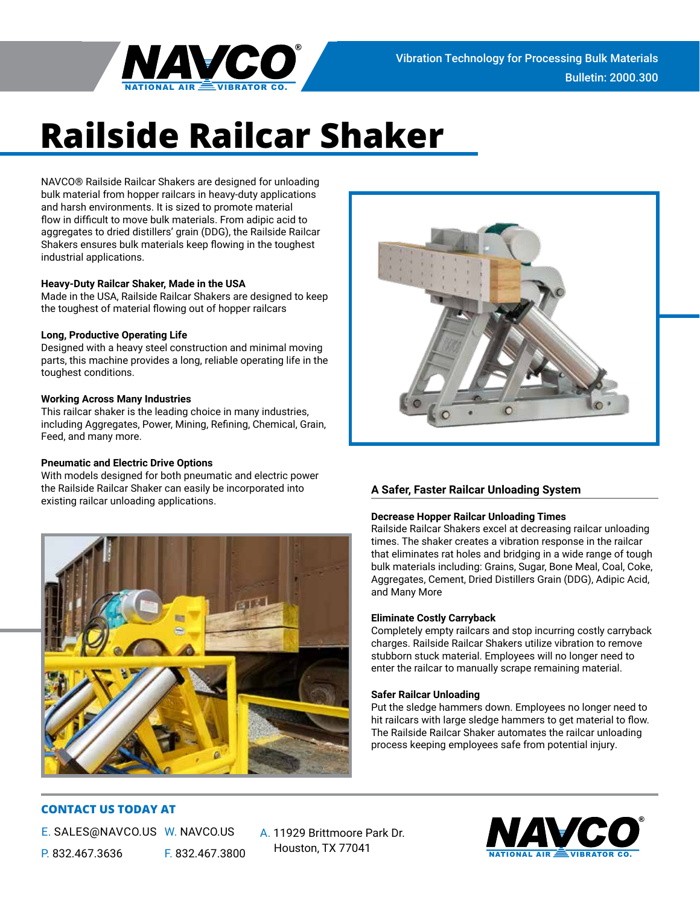

# **Railside Railcar Shaker**

NAVCO® Railside Railcar Shakers are designed for unloading bulk material from hopper railcars in heavy-duty applications and harsh environments. It is sized to promote material flow in difficult to move bulk materials. From adipic acid to aggregates to dried distillers' grain (DDG), the Railside Railcar Shakers ensures bulk materials keep flowing in the toughest industrial applications.

# **Heavy-Duty Railcar Shaker, Made in the USA**

Made in the USA, Railside Railcar Shakers are designed to keep the toughest of material flowing out of hopper railcars

# **Long, Productive Operating Life**

Designed with a heavy steel construction and minimal moving parts, this machine provides a long, reliable operating life in the toughest conditions.

# **Working Across Many Industries**

This railcar shaker is the leading choice in many industries, including Aggregates, Power, Mining, Refining, Chemical, Grain, Feed, and many more.

# **Pneumatic and Electric Drive Options**

With models designed for both pneumatic and electric power the Railside Railcar Shaker can easily be incorporated into existing railcar unloading applications.





# **A Safer, Faster Railcar Unloading System**

# **Decrease Hopper Railcar Unloading Times**

Railside Railcar Shakers excel at decreasing railcar unloading times. The shaker creates a vibration response in the railcar that eliminates rat holes and bridging in a wide range of tough bulk materials including: Grains, Sugar, Bone Meal, Coal, Coke, Aggregates, Cement, Dried Distillers Grain (DDG), Adipic Acid, and Many More

# **Eliminate Costly Carryback**

Completely empty railcars and stop incurring costly carryback charges. Railside Railcar Shakers utilize vibration to remove stubborn stuck material. Employees will no longer need to enter the railcar to manually scrape remaining material.

# **Safer Railcar Unloading**

Put the sledge hammers down. Employees no longer need to hit railcars with large sledge hammers to get material to flow. The Railside Railcar Shaker automates the railcar unloading process keeping employees safe from potential injury.

# **CONTACT US TODAY AT**

E. SALES@NAVCO.US W. NAVCO.US P. 832.467.3636 F. 832.467.3800

A. 11929 Brittmoore Park Dr. Houston, TX 77041